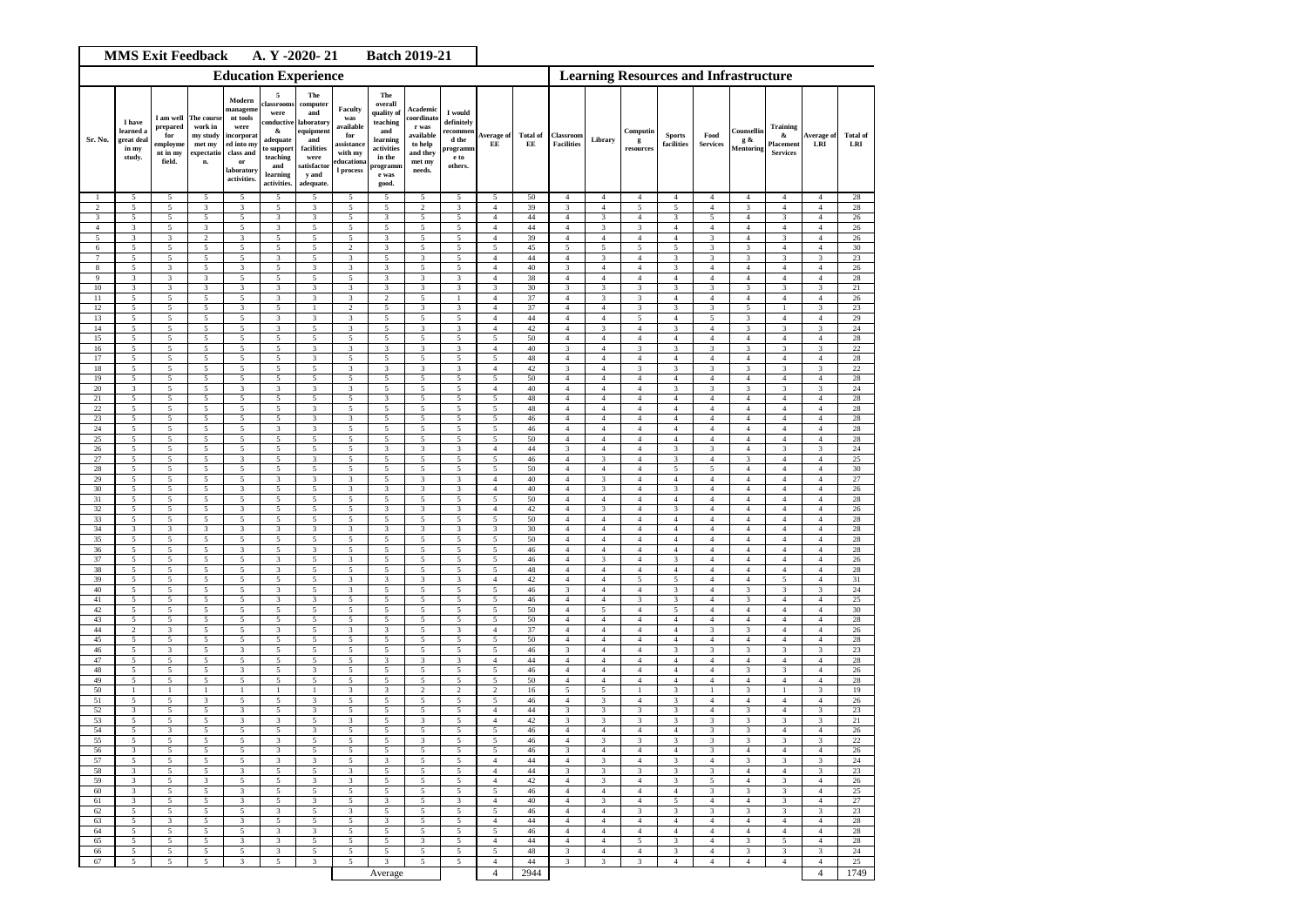| <b>MMS Exit Feedback</b><br>A. Y -2020-21<br><b>Batch 2019-21</b> |                                                      |                                                                |                                                                |                                                                                                                    |                                                                                                                   |                                                                                                                     |                                                                                       |                                                                                                                   |                                                                                         |                                                                          |                                              |                       |                                           |                                  |                                    |                                  |                                  |                                           |                                                      |                                           |                        |
|-------------------------------------------------------------------|------------------------------------------------------|----------------------------------------------------------------|----------------------------------------------------------------|--------------------------------------------------------------------------------------------------------------------|-------------------------------------------------------------------------------------------------------------------|---------------------------------------------------------------------------------------------------------------------|---------------------------------------------------------------------------------------|-------------------------------------------------------------------------------------------------------------------|-----------------------------------------------------------------------------------------|--------------------------------------------------------------------------|----------------------------------------------|-----------------------|-------------------------------------------|----------------------------------|------------------------------------|----------------------------------|----------------------------------|-------------------------------------------|------------------------------------------------------|-------------------------------------------|------------------------|
| <b>Education Experience</b>                                       |                                                      |                                                                |                                                                |                                                                                                                    |                                                                                                                   |                                                                                                                     |                                                                                       |                                                                                                                   |                                                                                         |                                                                          | <b>Learning Resources and Infrastructure</b> |                       |                                           |                                  |                                    |                                  |                                  |                                           |                                                      |                                           |                        |
| Sr. No.                                                           | I have<br>learned a<br>ereat deal<br>in my<br>study. | I am well<br>prepared<br>for<br>employme<br>nt in my<br>field. | The cours<br>work in<br>my study<br>met my<br>expectatic<br>n. | Modern<br>manageme<br>nt tools<br>were<br>incorporat<br>ed into my<br>class and<br>or<br>laboratory<br>activities. | 5<br>classroom<br>were<br>conductive<br>&<br>adequate<br>to support<br>teaching<br>and<br>learning<br>activities. | The<br>computer<br>and<br>laboratory<br>equipment<br>and<br>facilities<br>were<br>satisfactor<br>y and<br>adequate. | Faculty<br>was<br>available<br>for<br>assistance<br>with my<br>ducation:<br>l process | The<br>overall<br>quality of<br>teaching<br>and<br>learning<br>activities<br>in the<br>programm<br>e was<br>good. | Academic<br>coordinato<br>r was<br>available<br>to help<br>and they<br>met my<br>needs. | I would<br>definitely<br>recommen<br>d the<br>rogramm<br>e to<br>others. | Average of<br>EE                             | <b>Total of</b><br>EE | Classroom<br><b>Facilities</b>            | Library                          | Computin<br>g<br>resources         | <b>Sports</b><br>facilities      | Food<br><b>Services</b>          | Counsellin<br>g &<br><b>Mentoring</b>     | <b>Training</b><br>&<br>Placement<br><b>Services</b> | <b>Average of</b><br>LRI                  | <b>Total</b> of<br>LRI |
| $\mathbf{1}$                                                      | 5                                                    | 5                                                              | 5                                                              | 5                                                                                                                  | 5                                                                                                                 | $\overline{\phantom{0}}$                                                                                            | 5                                                                                     | 5                                                                                                                 | 5                                                                                       | 5                                                                        | 5                                            | 50                    | $\overline{4}$                            | $\overline{4}$                   | $\overline{4}$                     | $\overline{4}$                   | $\overline{4}$                   | $\overline{4}$                            | $\overline{4}$                                       | $\overline{4}$                            | 28                     |
| $\overline{c}$<br>3                                               | 5<br>5                                               | 5<br>5                                                         | $\mathbf{3}$<br>5                                              | 3<br>5                                                                                                             | 5<br>3                                                                                                            | 3<br>3                                                                                                              | 5<br>5                                                                                | 5<br>3                                                                                                            | $\,2$<br>5                                                                              | 3<br>5                                                                   | $\overline{4}$<br>$\overline{4}$             | 39<br>44              | $\overline{\mathbf{3}}$<br>$\overline{4}$ | $\overline{4}$<br>3              | 5<br>$\overline{4}$                | $\overline{5}$<br>$\overline{3}$ | $\overline{4}$<br>5              | $\overline{\mathbf{3}}$<br>$\overline{4}$ | $\overline{4}$<br>3                                  | $\overline{4}$<br>$\overline{4}$          | 28<br>26               |
| $\overline{4}$                                                    | 3                                                    | 5                                                              | $\mathbf{3}$                                                   | 5                                                                                                                  | $\mathbf{3}$                                                                                                      | 5                                                                                                                   | 5                                                                                     | 5                                                                                                                 | $\sqrt{5}$                                                                              | 5                                                                        | $\overline{4}$                               | 44                    | $\overline{4}$                            | 3                                | 3                                  | $\overline{4}$                   | $\overline{4}$                   | $\overline{4}$                            | $\overline{4}$                                       | $\overline{4}$                            | 26                     |
| $\sqrt{5}$<br>6                                                   | 3<br>5                                               | 3<br>5                                                         | $\overline{c}$<br>5                                            | 3<br>5                                                                                                             | 5<br>5                                                                                                            | $\sqrt{5}$<br>5                                                                                                     | $\sqrt{5}$<br>$\overline{c}$                                                          | 3<br>3                                                                                                            | $\sqrt{5}$<br>5                                                                         | 5<br>5                                                                   | $\overline{4}$<br>5                          | 39<br>45              | $\overline{4}$<br>5                       | $\overline{4}$<br>5              | $\overline{4}$<br>5                | $\overline{4}$<br>5              | 3<br>3                           | $\overline{4}$<br>$\mathbf{3}$            | 3<br>$\overline{4}$                                  | $\overline{4}$<br>$\overline{4}$          | 26<br>30               |
| $\tau$                                                            | 5                                                    | 5                                                              | 5                                                              | 5                                                                                                                  | 3                                                                                                                 | 5                                                                                                                   | 3                                                                                     | 5                                                                                                                 | 3                                                                                       | 5                                                                        | $\overline{4}$                               | 44                    | $\overline{4}$                            | 3                                | $\overline{4}$                     | 3                                | 3                                | 3                                         | 3                                                    | 3                                         | 23                     |
| $\bf 8$<br>9                                                      | 5<br>3                                               | 3<br>3                                                         | 5<br>$\sqrt{3}$                                                | 3<br>5                                                                                                             | 5<br>5                                                                                                            | 3<br>5                                                                                                              | 3<br>$\sqrt{5}$                                                                       | 3<br>3                                                                                                            | 5<br>3                                                                                  | 5<br>3                                                                   | $\overline{4}$<br>$\sqrt{4}$                 | 40<br>38              | $\mathbf{3}$<br>$\overline{4}$            | $\overline{4}$<br>$\sqrt{4}$     | $\overline{4}$<br>$\sqrt{4}$       | 3<br>$\overline{4}$              | $\overline{4}$<br>$\overline{4}$ | $\sqrt{4}$<br>$\overline{4}$              | $\sqrt{4}$<br>$\sqrt{4}$                             | $\overline{4}$<br>$\overline{4}$          | 26<br>28               |
| 10                                                                | 3                                                    | 3                                                              | $\sqrt{3}$                                                     | 3                                                                                                                  | 3                                                                                                                 | 3                                                                                                                   | 3                                                                                     | 3                                                                                                                 | 3                                                                                       | 3                                                                        | 3                                            | 30                    | 3                                         | 3                                | 3                                  | 3                                | 3                                | $_{\rm 3}$                                | 3                                                    | 3                                         | $21\,$                 |
| $11\,$                                                            | 5                                                    | 5                                                              | $\sqrt{5}$                                                     | 5                                                                                                                  | 3                                                                                                                 | $\mathbf{3}$                                                                                                        | 3                                                                                     | $\overline{c}$                                                                                                    | $\sqrt{5}$                                                                              | 1                                                                        | $\sqrt{4}$                                   | 37                    | $\overline{4}$                            | 3                                | 3                                  | $\overline{4}$                   | $\overline{4}$                   | $\,4\,$                                   | $\ensuremath{4}$                                     | $\overline{\mathbf{4}}$                   | 26                     |
| 12<br>13                                                          | 5<br>5                                               | 5<br>5                                                         | $\overline{5}$<br>5                                            | $\mathbf{3}$<br>5                                                                                                  | 5<br>3                                                                                                            | $\mathbf{1}$<br>3                                                                                                   | $\,2$<br>3                                                                            | 5<br>5                                                                                                            | $\overline{\mathbf{3}}$<br>$\overline{5}$                                               | 3<br>5                                                                   | $\overline{4}$<br>$\overline{4}$             | 37<br>44              | $\overline{4}$<br>$\overline{4}$          | $\overline{4}$<br>$\overline{4}$ | $\mathbf{3}$<br>5                  | 3<br>$\overline{4}$              | 3<br>5                           | $\overline{5}$<br>3                       | $\mathbf{1}$<br>$\overline{4}$                       | 3<br>$\overline{4}$                       | 23<br>29               |
| 14                                                                | 5                                                    | 5                                                              | $\sqrt{5}$                                                     | 5                                                                                                                  | $\mathbf{3}$                                                                                                      | 5                                                                                                                   | 3                                                                                     | 5                                                                                                                 | 3                                                                                       | 3                                                                        | $\sqrt{4}$                                   | 42                    | $\overline{4}$                            | 3                                | $\sqrt{4}$                         | 3                                | $\sqrt{4}$                       | 3                                         | 3                                                    | 3                                         | $\sqrt{24}$            |
| 15<br>16                                                          | 5<br>5                                               | $\overline{5}$<br>5                                            | $\overline{5}$<br>5                                            | 5<br>5                                                                                                             | 5<br>5                                                                                                            | 5<br>$\mathbf{3}$                                                                                                   | 5<br>$\sqrt{3}$                                                                       | 5<br>3                                                                                                            | $\overline{5}$<br>3                                                                     | 5<br>3                                                                   | 5<br>$\sqrt{4}$                              | 50<br>40              | $\overline{4}$<br>$\mathbf{3}$            | $\overline{4}$<br>$\sqrt{4}$     | $\overline{4}$<br>3                | $\overline{4}$                   | $\overline{4}$<br>3              | $\overline{4}$<br>$_{\rm 3}$              | $\overline{4}$<br>3                                  | $\overline{4}$                            | 28<br>$22\,$           |
| 17                                                                | $\sqrt{5}$                                           | 5                                                              | 5                                                              | $\sqrt{5}$                                                                                                         | 5                                                                                                                 | 3                                                                                                                   | $\sqrt{5}$                                                                            | 5                                                                                                                 | $\sqrt{5}$                                                                              | 5                                                                        | 5                                            | $\rm 48$              | $\overline{4}$                            | $\sqrt{4}$                       | $\overline{4}$                     | 3<br>$\overline{4}$              | $\overline{4}$                   | $\,$ 4 $\,$                               | $\overline{4}$                                       | 3<br>$\,4\,$                              | 28                     |
| 18                                                                | 5                                                    | 5                                                              | 5                                                              | 5                                                                                                                  | 5                                                                                                                 | 5                                                                                                                   | 3                                                                                     | $\mathbf{3}$                                                                                                      | $\mathbf{3}$                                                                            | 3                                                                        | $\overline{4}$                               | 42                    | $\mathbf{3}$                              | $\overline{4}$                   | 3                                  | $\mathbf{3}$                     | 3                                | $\mathbf{3}$                              | $\mathbf{3}$                                         | $\mathbf{3}$                              | 22                     |
| 19<br>$20\,$                                                      | 5<br>$\mathbf{3}$                                    | 5<br>5                                                         | 5<br>5                                                         | 5<br>3                                                                                                             | 5<br>3                                                                                                            | 5<br>3                                                                                                              | 5<br>3                                                                                | 5<br>5                                                                                                            | 5<br>5                                                                                  | 5<br>5                                                                   | 5<br>$\overline{4}$                          | 50<br>40              | $\overline{4}$<br>$\overline{4}$          | $\overline{4}$<br>$\overline{4}$ | $\overline{4}$<br>$\overline{4}$   | $\overline{4}$<br>3              | $\overline{4}$<br>3              | $\overline{4}$<br>3                       | $\overline{4}$<br>3                                  | $\overline{4}$<br>3                       | 28<br>$24\,$           |
| 21                                                                | 5                                                    | 5                                                              | 5                                                              | 5                                                                                                                  | 5                                                                                                                 | 5                                                                                                                   | 5                                                                                     | 3                                                                                                                 | 5                                                                                       | 5                                                                        | 5                                            | 48                    | $\overline{4}$                            | $\overline{4}$                   | $\overline{4}$                     | $\overline{4}$                   | $\overline{4}$                   | $\overline{4}$                            | $\overline{4}$                                       | $\overline{4}$                            | 28                     |
| 22                                                                | 5                                                    | 5                                                              | 5                                                              | 5                                                                                                                  | 5                                                                                                                 | 3                                                                                                                   | 5<br>3                                                                                | 5                                                                                                                 | 5                                                                                       | 5                                                                        | 5                                            | 48                    | $\overline{4}$                            | 4<br>$\overline{4}$              | $\sqrt{4}$                         | $\overline{4}$                   | $\overline{4}$                   | $\overline{4}$                            | $\sqrt{4}$                                           | $\overline{4}$<br>$\overline{\mathbf{4}}$ | 28                     |
| $23\,$<br>24                                                      | 5<br>5                                               | 5<br>5                                                         | $\sqrt{5}$<br>5                                                | 5<br>5                                                                                                             | 5<br>3                                                                                                            | 3<br>$\mathbf{3}$                                                                                                   | 5                                                                                     | 5<br>5                                                                                                            | $\sqrt{5}$<br>5                                                                         | 5<br>5                                                                   | $\sqrt{5}$<br>5                              | 46<br>46              | $\sqrt{4}$<br>$\overline{4}$              | $\overline{4}$                   | $\ensuremath{4}$<br>$\overline{4}$ | $\overline{4}$<br>$\overline{4}$ | $\overline{4}$<br>$\overline{4}$ | $\,4$<br>$\overline{4}$                   | $\ensuremath{4}$<br>$\overline{4}$                   | $\overline{4}$                            | 28<br>28               |
| 25                                                                | 5                                                    | 5                                                              | 5                                                              | 5                                                                                                                  | 5                                                                                                                 | 5                                                                                                                   | 5                                                                                     | 5                                                                                                                 | 5                                                                                       | 5                                                                        | 5                                            | 50                    | 4                                         | $\overline{4}$                   | $\overline{4}$                     | $\overline{4}$                   | $\overline{4}$                   | $\overline{4}$                            | $\overline{4}$                                       | $\overline{4}$                            | $\sqrt{28}$            |
| 26<br>27                                                          | 5<br>5                                               | 5<br>$\overline{5}$                                            | 5<br>$\overline{5}$                                            | 5<br>3                                                                                                             | 5<br>5                                                                                                            | 5<br>$\overline{\mathbf{3}}$                                                                                        | 5<br>5                                                                                | 3<br>5                                                                                                            | 3<br>$\overline{5}$                                                                     | 3<br>5                                                                   | $\overline{4}$<br>5                          | 44<br>46              | 3<br>$\overline{4}$                       | $\overline{4}$<br>3              | $\overline{4}$<br>$\overline{4}$   | 3<br>$\overline{3}$              | 3<br>$\overline{4}$              | $\overline{4}$<br>3                       | $\mathbf{3}$<br>$\overline{4}$                       | 3<br>$\overline{4}$                       | $24\,$<br>25           |
| 28                                                                | 5                                                    | 5                                                              | 5                                                              | 5                                                                                                                  | 5                                                                                                                 | 5                                                                                                                   | 5                                                                                     | 5                                                                                                                 | 5                                                                                       | 5                                                                        | 5                                            | 50                    | $\overline{4}$                            | $\overline{4}$                   | $\overline{4}$                     | 5                                | 5                                | $\overline{4}$                            | $\sqrt{4}$                                           | $\overline{4}$                            | 30                     |
| 29                                                                | 5                                                    | 5                                                              | 5                                                              | 5                                                                                                                  | $\mathbf{3}$                                                                                                      | 3                                                                                                                   | 3                                                                                     | 5                                                                                                                 | 3                                                                                       | 3                                                                        | $\overline{4}$                               | 40                    | $\overline{4}$                            | 3                                | $\overline{4}$                     | $\overline{4}$                   | $\overline{4}$                   | $\overline{4}$                            | $\overline{4}$                                       | $\overline{4}$                            | 27                     |
| 30<br>31                                                          | 5<br>5                                               | 5<br>5                                                         | $\mathfrak{s}$<br>5                                            | 3<br>5                                                                                                             | 5<br>5                                                                                                            | 5<br>5                                                                                                              | $\sqrt{3}$<br>5                                                                       | 3<br>5                                                                                                            | 3<br>5                                                                                  | 3<br>5                                                                   | $\overline{4}$<br>5                          | $40\,$<br>50          | $\overline{4}$<br>$\overline{4}$          | 3<br>$\overline{4}$              | $\overline{4}$<br>$\overline{4}$   | 3<br>$\overline{4}$              | $\overline{4}$<br>$\overline{4}$ | $\sqrt{4}$<br>$\overline{4}$              | $\sqrt{4}$<br>$\overline{4}$                         | $\overline{4}$<br>$\overline{4}$          | $26\,$<br>$\sqrt{28}$  |
| 32                                                                | 5                                                    | 5                                                              | 5                                                              | 3                                                                                                                  | 5                                                                                                                 | 5                                                                                                                   | 5                                                                                     | 3                                                                                                                 | 3                                                                                       | 3                                                                        | $\overline{4}$                               | $42\,$                | $\overline{4}$                            | 3                                | $\sqrt{4}$                         | 3                                | $\overline{4}$                   | $\overline{4}$                            | $\overline{4}$                                       | $\overline{4}$                            | 26                     |
| 33<br>34                                                          | 5<br>3                                               | 5<br>3                                                         | 5<br>$\sqrt{3}$                                                | 5<br>3                                                                                                             | 5<br>3                                                                                                            | 5<br>3                                                                                                              | 5<br>3                                                                                | 5<br>3                                                                                                            | 5<br>3                                                                                  | 5<br>3                                                                   | 5<br>3                                       | 50<br>30              | $\overline{4}$<br>$\overline{4}$          | $\overline{4}$<br>$\overline{4}$ | $\sqrt{4}$<br>$\sqrt{4}$           | $\overline{4}$<br>$\overline{4}$ | $\overline{4}$<br>$\overline{4}$ | $\overline{4}$<br>$\overline{4}$          | $\overline{4}$<br>$\overline{4}$                     | $\overline{4}$<br>$\overline{4}$          | 28<br>28               |
| 35                                                                | 5                                                    | 5                                                              | $\sqrt{5}$                                                     | 5                                                                                                                  | 5                                                                                                                 | 5                                                                                                                   | 5                                                                                     | 5                                                                                                                 | $\sqrt{5}$                                                                              | 5                                                                        | 5                                            | 50                    | $\overline{4}$                            | $\overline{4}$                   | $\sqrt{4}$                         | $\overline{4}$                   | $\overline{4}$                   | $\overline{4}$                            | $\sqrt{4}$                                           | $\overline{4}$                            | 28                     |
| 36                                                                | 5                                                    | 5                                                              | $\sqrt{5}$                                                     | 3                                                                                                                  | $\sqrt{5}$                                                                                                        | $\mathbf{3}$                                                                                                        | $\sqrt{5}$                                                                            | 5                                                                                                                 | $\sqrt{5}$                                                                              | 5                                                                        | $\sqrt{5}$                                   | 46                    | $\overline{4}$                            | $\overline{4}$                   | $\ensuremath{4}$                   | $\overline{4}$                   | $\overline{4}$                   | $\,4\,$                                   | $\ensuremath{4}$                                     | $\overline{\mathbf{4}}$                   | $\sqrt{28}$            |
| 37<br>38                                                          | 5<br>5                                               | 5<br>5                                                         | 5<br>5                                                         | 5<br>5                                                                                                             | 3<br>3                                                                                                            | 5<br>5                                                                                                              | $\sqrt{3}$<br>5                                                                       | 5<br>5                                                                                                            | 5<br>5                                                                                  | 5<br>5                                                                   | 5<br>5                                       | $46\,$<br>48          | $\overline{4}$<br>$\overline{4}$          | 3<br>$\overline{4}$              | $\overline{4}$<br>$\overline{4}$   | 3<br>$\overline{4}$              | $\overline{4}$<br>$\overline{4}$ | $\overline{4}$<br>$\overline{4}$          | $\overline{4}$<br>$\overline{4}$                     | $\overline{4}$<br>$\overline{4}$          | 26<br>28               |
| 39                                                                | 5                                                    | 5                                                              | $\sqrt{5}$                                                     | 5                                                                                                                  | 5                                                                                                                 | 5                                                                                                                   | 3                                                                                     | 3                                                                                                                 | $\sqrt{3}$                                                                              | 3                                                                        | $\sqrt{4}$                                   | 42                    | $\overline{4}$                            | $\overline{4}$                   | 5                                  | 5                                | $\overline{4}$                   | $\overline{4}$                            | 5                                                    | $\overline{4}$                            | 31                     |
| 40<br>41                                                          | 5                                                    | 5<br>5                                                         | 5<br>5                                                         | 5                                                                                                                  | $\mathbf{3}$<br>$\mathbf{3}$                                                                                      | $\sqrt{5}$<br>$\mathbf{3}$                                                                                          | 3<br>$\sqrt{5}$                                                                       | 5                                                                                                                 | $\mathfrak{s}$                                                                          | 5                                                                        | $\sqrt{5}$                                   | 46<br>$46\,$          | $\mathbf{3}$<br>$\overline{4}$            | $\overline{4}$<br>$\sqrt{4}$     | $\overline{4}$<br>3                | $\mathbf{3}$<br>3                | $\overline{4}$<br>$\sqrt{4}$     | $_{\rm 3}$<br>3                           | $\mathbf{3}$<br>$\sqrt{4}$                           | 3<br>$\overline{4}$                       | 24<br>25               |
| 42                                                                | 5<br>$\sqrt{5}$                                      | 5                                                              | 5                                                              | 5<br>$\sqrt{5}$                                                                                                    | 5                                                                                                                 | $\sqrt{5}$                                                                                                          | $\sqrt{5}$                                                                            | 5<br>5                                                                                                            | $\sqrt{5}$<br>$\sqrt{5}$                                                                | 5<br>5                                                                   | $\sqrt{5}$<br>5                              | 50                    | $\overline{4}$                            | 5                                | $\overline{4}$                     | 5                                | $\overline{4}$                   | $\,$ 4 $\,$                               | $\overline{4}$                                       | $\,4\,$                                   | 30                     |
| 43                                                                | 5                                                    | 5                                                              | 5                                                              | 5                                                                                                                  | 5                                                                                                                 | 5                                                                                                                   | 5                                                                                     | 5                                                                                                                 | 5                                                                                       | 5                                                                        | 5                                            | 50                    | $\overline{4}$                            | $\overline{4}$                   | $\overline{4}$                     | $\overline{4}$                   | $\overline{4}$                   | $\overline{4}$                            | $\overline{4}$                                       | $\overline{4}$                            | 28                     |
| 44<br>45                                                          | $\overline{2}$<br>5                                  | 3<br>5                                                         | 5<br>5                                                         | 5<br>5                                                                                                             | 3<br>5                                                                                                            | 5<br>5                                                                                                              | 3<br>5                                                                                | 3<br>5                                                                                                            | 5<br>5                                                                                  | 3<br>5                                                                   | $\overline{4}$<br>5                          | 37<br>50              | $\overline{4}$<br>$\overline{4}$          | $\overline{4}$<br>$\overline{4}$ | $\overline{4}$<br>$\sqrt{4}$       | $\overline{4}$<br>$\overline{4}$ | 3<br>$\overline{4}$              | 3<br>$\overline{4}$                       | $\overline{4}$<br>$\overline{4}$                     | $\overline{4}$<br>$\overline{4}$          | 26<br>28               |
| 46                                                                | 5                                                    | 3                                                              | 5                                                              | 3                                                                                                                  | 5                                                                                                                 | 5                                                                                                                   | 5                                                                                     | 5                                                                                                                 | 5                                                                                       | 5                                                                        | 5                                            | 46                    | $\mathbf{3}$                              | $\overline{4}$                   | $\overline{4}$                     | $\overline{3}$                   | 3                                | $_{\rm 3}$                                | 3                                                    | 3                                         | 23                     |
| 47<br>48                                                          | 5<br>5                                               | 5<br>5                                                         | $\sqrt{5}$<br>$\sqrt{5}$                                       | 5<br>3                                                                                                             | 5<br>5                                                                                                            | 5<br>3                                                                                                              | 5<br>$\sqrt{5}$                                                                       | 3<br>5                                                                                                            | 3<br>$\sqrt{5}$                                                                         | 3<br>5                                                                   | $\overline{4}$<br>5                          | $44$<br>46            | $\overline{4}$<br>$\overline{4}$          | $\overline{4}$<br>$\overline{4}$ | $\overline{4}$<br>$\sqrt{4}$       | $\overline{4}$<br>$\overline{4}$ | $\overline{4}$<br>$\overline{4}$ | $\overline{4}$<br>3                       | $\overline{4}$<br>3                                  | $\overline{4}$<br>$\overline{4}$          | 28<br>26               |
| 49                                                                | 5                                                    | 5                                                              | 5                                                              | 5                                                                                                                  | 5                                                                                                                 | 5                                                                                                                   | 5                                                                                     | 5                                                                                                                 | $\overline{5}$                                                                          | 5                                                                        | 5                                            | 50                    | $\overline{4}$                            | $\overline{4}$                   | $\overline{4}$                     | $\overline{4}$                   | $\overline{4}$                   | $\overline{4}$                            | $\overline{4}$                                       | $\overline{4}$                            | 28                     |
| 50                                                                | 1                                                    | -1                                                             | $\mathbf{1}$                                                   | 1                                                                                                                  | 1                                                                                                                 | 1                                                                                                                   | 3                                                                                     | 3                                                                                                                 | $\overline{c}$                                                                          | $\mathfrak{D}$                                                           | 2                                            | 16                    | 5                                         | 5                                | 1                                  | 3                                |                                  | 3                                         | $\mathbf{1}$                                         | 3                                         | 19                     |
| 51<br>52                                                          | 5<br>3                                               | 5<br>5                                                         | $\sqrt{3}$<br>5                                                | 5<br>3                                                                                                             | 5<br>5                                                                                                            | 3<br>$\mathbf{3}$                                                                                                   | 5<br>5                                                                                | 5<br>5                                                                                                            | 5<br>5                                                                                  | 5<br>5                                                                   | 5<br>$\sqrt{4}$                              | $46\,$<br>44          | $\overline{4}$<br>$\mathbf{3}$            | 3<br>3                           | $\sqrt{4}$<br>3                    | 3<br>$\overline{3}$              | $\overline{4}$<br>$\overline{4}$ | $\sqrt{4}$<br>3                           | $\overline{4}$<br>$\overline{4}$                     | $\overline{4}$<br>3                       | 26<br>23               |
| 53                                                                | 5                                                    | 5                                                              | $\sqrt{5}$                                                     | 3                                                                                                                  | 3                                                                                                                 | 5                                                                                                                   | 3                                                                                     | 5                                                                                                                 | 3                                                                                       | 5                                                                        | $\sqrt{4}$                                   | 42                    | 3                                         | 3                                | 3                                  | 3                                | 3                                | 3                                         | 3                                                    | 3                                         | 21                     |
| 54                                                                | 5                                                    | 3                                                              | $\sqrt{5}$                                                     | 5                                                                                                                  | $\sqrt{5}$                                                                                                        | 3                                                                                                                   | 5                                                                                     | 5                                                                                                                 | $\sqrt{5}$                                                                              | 5                                                                        | $\sqrt{5}$                                   | $46\,$<br>46          | $\overline{4}$                            | $\overline{4}$                   | $\sqrt{4}$                         | $\overline{4}$                   | 3                                | 3                                         | $\sqrt{4}$                                           | $\overline{4}$                            | 26<br>22               |
| 55<br>56                                                          | 5<br>3                                               | 5                                                              | 5<br>5                                                         | 5                                                                                                                  | 3<br>3                                                                                                            | 5<br>5                                                                                                              | 5                                                                                     | 5<br>5                                                                                                            | 3<br>5                                                                                  | 5                                                                        | 5                                            | 46                    | $\overline{4}$<br>3                       | $\overline{4}$                   | 3<br>$\overline{4}$                | 3<br>$\overline{4}$              | 3                                | $\overline{4}$                            | 3<br>$\overline{4}$                                  | 3<br>$\overline{4}$                       | 26                     |
| 57                                                                | 5                                                    | 5                                                              | 5                                                              | 5                                                                                                                  | $\mathbf{3}$                                                                                                      | 3                                                                                                                   | 5                                                                                     | 3                                                                                                                 | 5                                                                                       | 5                                                                        | $\overline{4}$                               | 44                    | $\overline{4}$                            | 3                                | $\overline{4}$                     | 3                                | $\overline{4}$                   | 3                                         | 3                                                    | 3                                         | 24                     |
| 58<br>59                                                          | $\mathbf{3}$<br>3                                    | 5 <sup>5</sup><br>5                                            | 5<br>3                                                         | 3<br>5                                                                                                             | 5<br>5                                                                                                            | 5<br>3                                                                                                              | $\mathbf{3}$<br>3                                                                     | $\overline{5}$<br>5                                                                                               | 5<br>5                                                                                  | 5<br>5                                                                   | $\overline{4}$<br>$\overline{4}$             | 44<br>$42\,$          | $\mathbf{3}$<br>$\overline{4}$            | $\mathbf{3}$<br>3                | 3<br>$\overline{4}$                | $\mathbf{3}$<br>3                | 3<br>5                           | $\overline{4}$<br>$\overline{4}$          | $\overline{4}$<br>3                                  | 3<br>$\overline{4}$                       | 23<br>26               |
| 60                                                                | $\mathbf{3}$                                         | 5                                                              | $\sqrt{5}$                                                     | 3                                                                                                                  | 5                                                                                                                 | 5                                                                                                                   | $\sqrt{5}$                                                                            | 5                                                                                                                 | 5                                                                                       | 5                                                                        | 5                                            | 46                    | $\overline{4}$                            | $\overline{4}$                   | $\overline{4}$                     | $\overline{4}$                   | $\mathbf{3}$                     | $\mathbf{3}$                              | 3                                                    | $\overline{4}$                            | 25                     |
| 61                                                                | 3                                                    | 5                                                              | 5                                                              | 3                                                                                                                  | 5                                                                                                                 | 3                                                                                                                   | 5                                                                                     | 3                                                                                                                 | 5                                                                                       | 3                                                                        | $\overline{4}$                               | 40                    | $\overline{4}$                            | 3                                | $\overline{4}$                     | 5                                | $\overline{4}$                   | $\overline{4}$                            | 3                                                    | $\overline{4}$                            | 27                     |
| 62<br>63                                                          | 5<br>5                                               | 5<br>3                                                         | 5<br>5                                                         | 5<br>3                                                                                                             | 3<br>5                                                                                                            | 5<br>5                                                                                                              | 3<br>5                                                                                | 5<br>3                                                                                                            | 5<br>5                                                                                  | 5<br>5                                                                   | 5<br>$\overline{4}$                          | 46<br>44              | 4<br>$\overline{4}$                       | $\overline{4}$<br>$\overline{4}$ | 3<br>$\overline{4}$                | 3<br>$\overline{4}$              | 3<br>$\overline{4}$              | 3<br>$\overline{4}$                       | 3<br>$\overline{4}$                                  | 3<br>$\overline{4}$                       | 23<br>28               |
| 64                                                                | 5                                                    | 5                                                              | 5                                                              | 5                                                                                                                  | $\overline{\mathbf{3}}$                                                                                           | 3                                                                                                                   | 5                                                                                     | 5                                                                                                                 | 5                                                                                       | 5                                                                        | 5                                            | $46\,$                | $\overline{4}$                            | $\overline{4}$                   | $\overline{4}$                     | $\overline{4}$                   | $\overline{4}$                   | $\overline{4}$                            | $\sqrt{4}$                                           | $\overline{4}$                            | 28                     |
| 65<br>66                                                          | 5<br>5                                               | $5\overline{ }$<br>5                                           | 5<br>5                                                         | $\mathbf{3}$<br>5                                                                                                  | $\mathbf{3}$<br>3                                                                                                 | 5<br>5                                                                                                              | 5<br>5                                                                                | 5<br>5                                                                                                            | $\mathbf{3}$<br>5                                                                       | 5<br>5                                                                   | $\overline{4}$<br>5                          | 44<br>48              | $\overline{4}$<br>3                       | $\overline{4}$<br>$\overline{4}$ | 5<br>$\overline{4}$                | $\mathbf{3}$<br>3                | $\overline{4}$<br>$\overline{4}$ | $\mathbf{3}$<br>$\mathbf{3}$              | 5<br>3                                               | $\overline{4}$<br>3                       | $\bf 28$<br>24         |
| 67                                                                | 5                                                    | 5                                                              | 5                                                              | $\mathbf{3}$                                                                                                       | 5                                                                                                                 | 3                                                                                                                   | 5                                                                                     | 3                                                                                                                 | 5                                                                                       | 5                                                                        | $\overline{4}$                               | $44\,$                | 3                                         | 3                                | $\mathbf{3}$                       | $\overline{4}$                   | $\overline{4}$                   | $\overline{4}$                            | $\overline{4}$                                       | $\overline{4}$                            | 25                     |
|                                                                   |                                                      |                                                                |                                                                |                                                                                                                    |                                                                                                                   |                                                                                                                     |                                                                                       | Average                                                                                                           |                                                                                         |                                                                          | $\overline{4}$                               | 2944                  |                                           |                                  |                                    |                                  |                                  |                                           |                                                      | $\overline{4}$                            | 1749                   |